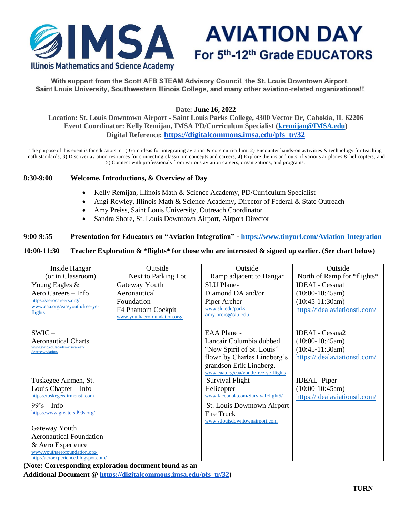

**AVIATION DAY** For 5th-12th Grade EDUCATORS

With support from the Scott AFB STEAM Advisory Council, the St. Louis Downtown Airport, Saint Louis University, Southwestern Illinois College, and many other aviation-related organizations!!

# **Date: June 16, 2022**

**Location: St. Louis Downtown Airport - Saint Louis Parks College, 4300 Vector Dr, Cahokia, IL 62206 Event Coordinator: Kelly Remijan, IMSA PD/Curriculum Specialist [\(kremijan@IMSA.edu\)](mailto:kremijan@IMSA.edu) Digital Reference: [https://digitalcommons.imsa.edu/pfs\\_tr/32](https://digitalcommons.imsa.edu/pfs_tr/32)**

The purpose of this event is for educators to 1) Gain ideas for integrating aviation  $\&$  core curriculum, 2) Encounter hands-on activities  $\&$  technology for teaching math standards, 3) Discover aviation resources for connecting classroom concepts and careers, 4) Explore the ins and outs of various airplanes & helicopters, and 5) Connect with professionals from various aviation careers, organizations, and programs.

#### **8:30-9:00 Welcome, Introductions, & Overview of Day**

- Kelly Remijan, Illinois Math & Science Academy, PD/Curriculum Specialist
- Angi Rowley, Illinois Math & Science Academy, Director of Federal & State Outreach
- Amy Preiss, Saint Louis University, Outreach Coordinator
- Sandra Shore, St. Louis Downtown Airport, Airport Director

### **9:00-9:55 Presentation for Educators on "Aviation Integration" - <https://www.tinyurl.com/Aviation-Integration>**

#### **10:00-11:30 Teacher Exploration & \*flights\* for those who are interested & signed up earlier. (See chart below)**

| Inside Hangar                                                       | Outside                                            | Outside                                                          | Outside                       |
|---------------------------------------------------------------------|----------------------------------------------------|------------------------------------------------------------------|-------------------------------|
| (or in Classroom)                                                   | Next to Parking Lot                                | Ramp adjacent to Hangar                                          | North of Ramp for *flights*   |
| Young Eagles &                                                      | Gateway Youth                                      | SLU Plane-                                                       | <b>IDEAL</b> -Cessna1         |
| Aero Careers – Info                                                 | Aeronautical                                       | Diamond DA and/or                                                | $(10:00-10:45am)$             |
| https://aerocareers.org/                                            | Foundation $-$                                     | Piper Archer                                                     | $(10:45-11:30am)$             |
| www.eaa.org/eaa/youth/free-ye-<br>flights                           | F4 Phantom Cockpit<br>www.youthaerofoundation.org/ | www.slu.edu/parks<br>amy.preis@slu.edu                           | https://idealaviationstl.com/ |
| $SWIC -$                                                            |                                                    | EAA Plane -                                                      | <b>IDEAL-</b> Cessna2         |
| <b>Aeronautical Charts</b>                                          |                                                    | Lancair Columbia dubbed                                          | $(10:00-10:45am)$             |
| www.swic.edu/academics/career-<br>degrees/aviation/                 |                                                    | "New Spirit of St. Louis"                                        | $(10:45-11:30am)$             |
|                                                                     |                                                    | flown by Charles Lindberg's                                      | https://idealaviationstl.com/ |
|                                                                     |                                                    | grandson Erik Lindberg.<br>www.eaa.org/eaa/vouth/free-ve-flights |                               |
| Tuskegee Airmen, St.                                                |                                                    | Survival Flight                                                  | <b>IDEAL-Piper</b>            |
| Louis Chapter – Info                                                |                                                    | Helicopter                                                       | $(10:00-10:45am)$             |
| https://tuskegeeairmenstl.com                                       |                                                    | www.facebook.com/SurvivalFlight5/                                | https://idealaviationstl.com/ |
| $99's - Info$                                                       |                                                    | St. Louis Downtown Airport                                       |                               |
| https://www.greaterstl99s.org/                                      |                                                    | <b>Fire Truck</b>                                                |                               |
|                                                                     |                                                    | www.stlouisdowntownairport.com                                   |                               |
| Gateway Youth                                                       |                                                    |                                                                  |                               |
| <b>Aeronautical Foundation</b>                                      |                                                    |                                                                  |                               |
| & Aero Experience                                                   |                                                    |                                                                  |                               |
| www.youthaerofoundation.org/<br>http://aeroexperience.blogspot.com/ |                                                    |                                                                  |                               |

**(Note: Corresponding exploration document found as an** 

**Additional Document @ [https://digitalcommons.imsa.edu/pfs\\_tr/32\)](https://digitalcommons.imsa.edu/pfs_tr/32)**